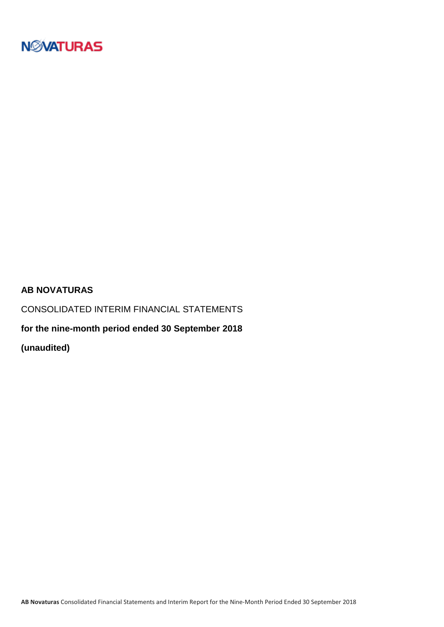

### **AB NOVATURAS**

CONSOLIDATED INTERIM FINANCIAL STATEMENTS

**for the nine-month period ended 30 September 2018**

**(unaudited)**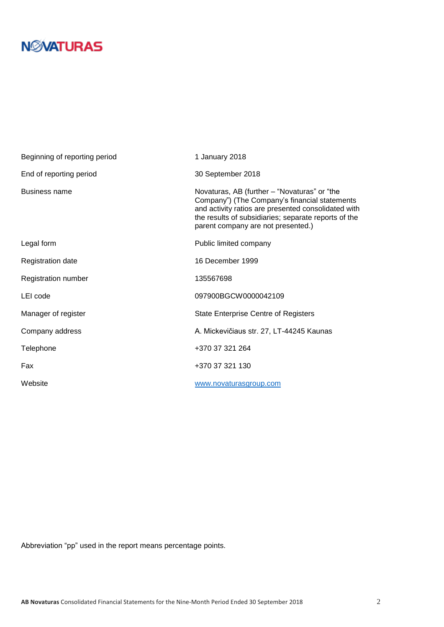| Beginning of reporting period | 1 January 2018                                                                                                                                                                                                                                     |
|-------------------------------|----------------------------------------------------------------------------------------------------------------------------------------------------------------------------------------------------------------------------------------------------|
| End of reporting period       | 30 September 2018                                                                                                                                                                                                                                  |
| <b>Business name</b>          | Novaturas, AB (further – "Novaturas" or "the<br>Company") (The Company's financial statements<br>and activity ratios are presented consolidated with<br>the results of subsidiaries; separate reports of the<br>parent company are not presented.) |
| Legal form                    | Public limited company                                                                                                                                                                                                                             |
| <b>Registration date</b>      | 16 December 1999                                                                                                                                                                                                                                   |
| Registration number           | 135567698                                                                                                                                                                                                                                          |
| LEI code                      | 097900BGCW0000042109                                                                                                                                                                                                                               |
| Manager of register           | <b>State Enterprise Centre of Registers</b>                                                                                                                                                                                                        |
| Company address               | A. Mickevičiaus str. 27, LT-44245 Kaunas                                                                                                                                                                                                           |
| Telephone                     | +370 37 321 264                                                                                                                                                                                                                                    |
| Fax                           | +370 37 321 130                                                                                                                                                                                                                                    |
| Website                       | www.novaturasgroup.com                                                                                                                                                                                                                             |

Abbreviation "pp" used in the report means percentage points.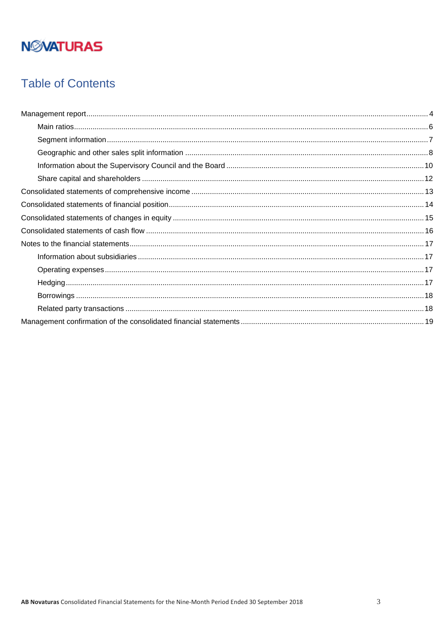## **Table of Contents**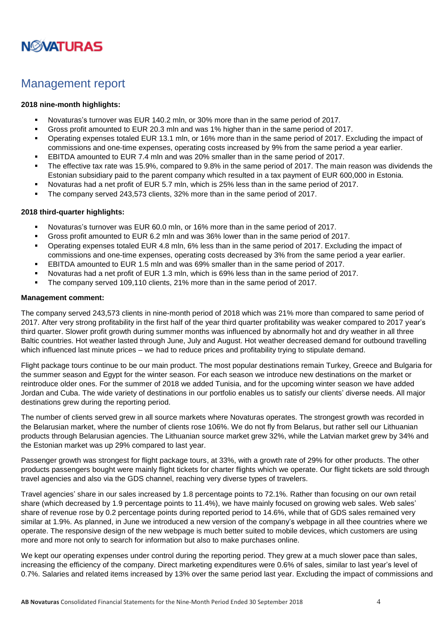

### <span id="page-3-0"></span>Management report

#### **2018 nine-month highlights:**

- Novaturas's turnover was EUR 140.2 mln, or 30% more than in the same period of 2017.
- Gross profit amounted to EUR 20.3 mln and was 1% higher than in the same period of 2017.
- Operating expenses totaled EUR 13.1 mln, or 16% more than in the same period of 2017. Excluding the impact of commissions and one-time expenses, operating costs increased by 9% from the same period a year earlier.
- EBITDA amounted to EUR 7.4 mln and was 20% smaller than in the same period of 2017.
- The effective tax rate was 15.9%, compared to 9.8% in the same period of 2017. The main reason was dividends the Estonian subsidiary paid to the parent company which resulted in a tax payment of EUR 600,000 in Estonia.
- Novaturas had a net profit of EUR 5.7 mln, which is 25% less than in the same period of 2017.
- The company served 243,573 clients, 32% more than in the same period of 2017.

#### **2018 third-quarter highlights:**

- Novaturas's turnover was EUR 60.0 mln, or 16% more than in the same period of 2017.
- Gross profit amounted to EUR 6.2 mln and was 36% lower than in the same period of 2017.
- Operating expenses totaled EUR 4.8 mln, 6% less than in the same period of 2017. Excluding the impact of commissions and one-time expenses, operating costs decreased by 3% from the same period a year earlier.
- EBITDA amounted to EUR 1.5 mln and was 69% smaller than in the same period of 2017.
- Novaturas had a net profit of EUR 1.3 mln, which is 69% less than in the same period of 2017.
- The company served 109,110 clients, 21% more than in the same period of 2017.

#### **Management comment:**

The company served 243,573 clients in nine-month period of 2018 which was 21% more than compared to same period of 2017. After very strong profitability in the first half of the year third quarter profitability was weaker compared to 2017 year's third quarter. Slower profit growth during summer months was influenced by abnormally hot and dry weather in all three Baltic countries. Hot weather lasted through June, July and August. Hot weather decreased demand for outbound travelling which influenced last minute prices – we had to reduce prices and profitability trying to stipulate demand.

Flight package tours continue to be our main product. The most popular destinations remain Turkey, Greece and Bulgaria for the summer season and Egypt for the winter season. For each season we introduce new destinations on the market or reintroduce older ones. For the summer of 2018 we added Tunisia, and for the upcoming winter season we have added Jordan and Cuba. The wide variety of destinations in our portfolio enables us to satisfy our clients' diverse needs. All major destinations grew during the reporting period.

The number of clients served grew in all source markets where Novaturas operates. The strongest growth was recorded in the Belarusian market, where the number of clients rose 106%. We do not fly from Belarus, but rather sell our Lithuanian products through Belarusian agencies. The Lithuanian source market grew 32%, while the Latvian market grew by 34% and the Estonian market was up 29% compared to last year.

Passenger growth was strongest for flight package tours, at 33%, with a growth rate of 29% for other products. The other products passengers bought were mainly flight tickets for charter flights which we operate. Our flight tickets are sold through travel agencies and also via the GDS channel, reaching very diverse types of travelers.

Travel agencies' share in our sales increased by 1.8 percentage points to 72.1%. Rather than focusing on our own retail share (which decreased by 1.9 percentage points to 11.4%), we have mainly focused on growing web sales. Web sales' share of revenue rose by 0.2 percentage points during reported period to 14.6%, while that of GDS sales remained very similar at 1.9%. As planned, in June we introduced a new version of the company's webpage in all thee countries where we operate. The responsive design of the new webpage is much better suited to mobile devices, which customers are using more and more not only to search for information but also to make purchases online.

We kept our operating expenses under control during the reporting period. They grew at a much slower pace than sales, increasing the efficiency of the company. Direct marketing expenditures were 0.6% of sales, similar to last year's level of 0.7%. Salaries and related items increased by 13% over the same period last year. Excluding the impact of commissions and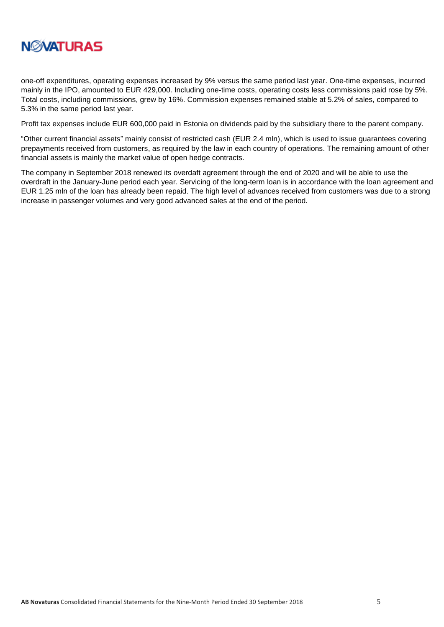

one-off expenditures, operating expenses increased by 9% versus the same period last year. One-time expenses, incurred mainly in the IPO, amounted to EUR 429,000. Including one-time costs, operating costs less commissions paid rose by 5%. Total costs, including commissions, grew by 16%. Commission expenses remained stable at 5.2% of sales, compared to 5.3% in the same period last year.

Profit tax expenses include EUR 600,000 paid in Estonia on dividends paid by the subsidiary there to the parent company.

"Other current financial assets" mainly consist of restricted cash (EUR 2.4 mln), which is used to issue guarantees covering prepayments received from customers, as required by the law in each country of operations. The remaining amount of other financial assets is mainly the market value of open hedge contracts.

The company in September 2018 renewed its overdaft agreement through the end of 2020 and will be able to use the overdraft in the January-June period each year. Servicing of the long-term loan is in accordance with the loan agreement and EUR 1.25 mln of the loan has already been repaid. The high level of advances received from customers was due to a strong increase in passenger volumes and very good advanced sales at the end of the period.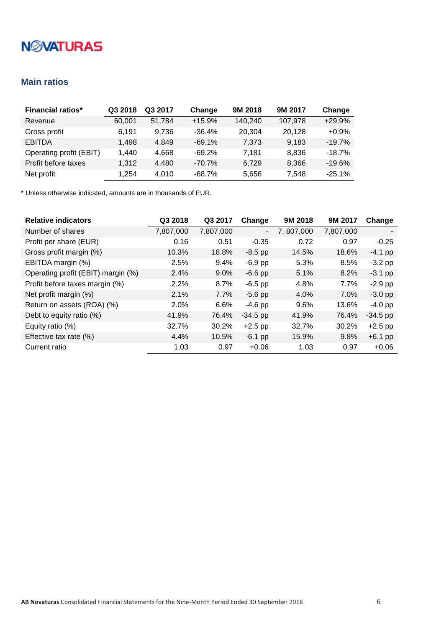### <span id="page-5-0"></span>**Main ratios**

| <b>Financial ratios*</b> | Q3 2018 | Q3 2017 | Change    | 9M 2018 | 9M 2017 | Change   |
|--------------------------|---------|---------|-----------|---------|---------|----------|
| Revenue                  | 60.001  | 51.784  | $+15.9%$  | 140.240 | 107.978 | $+29.9%$ |
| Gross profit             | 6.191   | 9,736   | $-36.4%$  | 20.304  | 20,128  | $+0.9%$  |
| <b>EBITDA</b>            | 1.498   | 4.849   | $-69.1%$  | 7.373   | 9.183   | $-19.7%$ |
| Operating profit (EBIT)  | 1.440   | 4.668   | $-69.2%$  | 7.181   | 8,836   | $-18.7%$ |
| Profit before taxes      | 1,312   | 4,480   | $-70.7\%$ | 6.729   | 8,366   | $-19.6%$ |
| Net profit               | 1.254   | 4.010   | $-68.7%$  | 5,656   | 7,548   | $-25.1%$ |

| <b>Relative indicators</b>         | Q3 2018   | Q3 2017   | Change         | 9M 2018   | 9M 2017   | Change     |
|------------------------------------|-----------|-----------|----------------|-----------|-----------|------------|
| Number of shares                   | 7,807,000 | 7,807,000 | $\blacksquare$ | 7,807,000 | 7,807,000 |            |
| Profit per share (EUR)             | 0.16      | 0.51      | $-0.35$        | 0.72      | 0.97      | $-0.25$    |
| Gross profit margin (%)            | 10.3%     | 18.8%     | $-8.5$ pp      | 14.5%     | 18.6%     | $-4.1$ pp  |
| EBITDA margin (%)                  | 2.5%      | 9.4%      | $-6.9$ pp      | 5.3%      | 8.5%      | $-3.2$ pp  |
| Operating profit (EBIT) margin (%) | 2.4%      | $9.0\%$   | $-6.6$ pp      | 5.1%      | 8.2%      | $-3.1$ pp  |
| Profit before taxes margin (%)     | 2.2%      | 8.7%      | $-6.5$ pp      | 4.8%      | 7.7%      | $-2.9$ pp  |
| Net profit margin (%)              | 2.1%      | 7.7%      | $-5.6$ pp      | 4.0%      | 7.0%      | $-3.0$ pp  |
| Return on assets (ROA) (%)         | 2.0%      | 6.6%      | $-4.6$ pp      | 9.6%      | 13.6%     | $-4.0$ pp  |
| Debt to equity ratio (%)           | 41.9%     | 76.4%     | $-34.5$ pp     | 41.9%     | 76.4%     | $-34.5$ pp |
| Equity ratio (%)                   | 32.7%     | 30.2%     | $+2.5$ pp      | 32.7%     | 30.2%     | $+2.5$ pp  |
| Effective tax rate (%)             | 4.4%      | 10.5%     | $-6.1$ pp      | 15.9%     | 9.8%      | $+6.1$ pp  |
| Current ratio                      | 1.03      | 0.97      | $+0.06$        | 1.03      | 0.97      | $+0.06$    |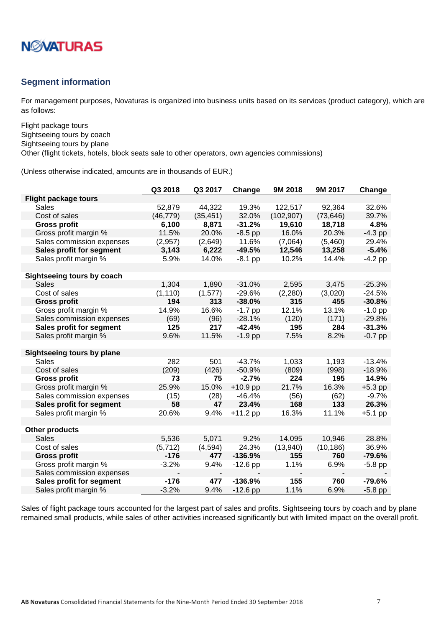

#### <span id="page-6-0"></span>**Segment information**

For management purposes, Novaturas is organized into business units based on its services (product category), which are as follows:

Flight package tours Sightseeing tours by coach Sightseeing tours by plane Other (flight tickets, hotels, block seats sale to other operators, own agencies commissions)

(Unless otherwise indicated, amounts are in thousands of EUR.)

|                                   | Q3 2018   | Q3 2017   | Change     | 9M 2018    | 9M 2017   | Change    |
|-----------------------------------|-----------|-----------|------------|------------|-----------|-----------|
| <b>Flight package tours</b>       |           |           |            |            |           |           |
| Sales                             | 52,879    | 44,322    | 19.3%      | 122,517    | 92,364    | 32.6%     |
| Cost of sales                     | (46, 779) | (35, 451) | 32.0%      | (102, 907) | (73, 646) | 39.7%     |
| <b>Gross profit</b>               | 6,100     | 8,871     | $-31.2%$   | 19,610     | 18,718    | 4.8%      |
| Gross profit margin %             | 11.5%     | 20.0%     | $-8.5$ pp  | 16.0%      | 20.3%     | $-4.3$ pp |
| Sales commission expenses         | (2,957)   | (2,649)   | 11.6%      | (7,064)    | (5,460)   | 29.4%     |
| Sales profit for segment          | 3,143     | 6,222     | $-49.5%$   | 12,546     | 13,258    | $-5.4%$   |
| Sales profit margin %             | 5.9%      | 14.0%     | $-8.1$ pp  | 10.2%      | 14.4%     | $-4.2$ pp |
|                                   |           |           |            |            |           |           |
| Sightseeing tours by coach        |           |           |            |            |           |           |
| Sales                             | 1,304     | 1,890     | $-31.0%$   | 2,595      | 3,475     | $-25.3%$  |
| Cost of sales                     | (1, 110)  | (1, 577)  | $-29.6%$   | (2,280)    | (3,020)   | $-24.5%$  |
| <b>Gross profit</b>               | 194       | 313       | $-38.0%$   | 315        | 455       | $-30.8%$  |
| Gross profit margin %             | 14.9%     | 16.6%     | $-1.7$ pp  | 12.1%      | 13.1%     | $-1.0$ pp |
| Sales commission expenses         | (69)      | (96)      | $-28.1%$   | (120)      | (171)     | $-29.8%$  |
| Sales profit for segment          | 125       | 217       | $-42.4%$   | 195        | 284       | $-31.3%$  |
| Sales profit margin %             | 9.6%      | 11.5%     | $-1.9$ pp  | 7.5%       | 8.2%      | $-0.7$ pp |
|                                   |           |           |            |            |           |           |
| <b>Sightseeing tours by plane</b> |           |           |            |            |           |           |
| <b>Sales</b>                      | 282       | 501       | $-43.7%$   | 1,033      | 1,193     | $-13.4%$  |
| Cost of sales                     | (209)     | (426)     | $-50.9%$   | (809)      | (998)     | $-18.9%$  |
| <b>Gross profit</b>               | 73        | 75        | $-2.7%$    | 224        | 195       | 14.9%     |
| Gross profit margin %             | 25.9%     | 15.0%     | $+10.9$ pp | 21.7%      | 16.3%     | $+5.3$ pp |
| Sales commission expenses         | (15)      | (28)      | $-46.4%$   | (56)       | (62)      | $-9.7%$   |
| Sales profit for segment          | 58        | 47        | 23.4%      | 168        | 133       | 26.3%     |
| Sales profit margin %             | 20.6%     | 9.4%      | $+11.2$ pp | 16.3%      | 11.1%     | $+5.1$ pp |
|                                   |           |           |            |            |           |           |
| <b>Other products</b>             |           |           |            |            |           |           |
| <b>Sales</b>                      | 5,536     | 5,071     | 9.2%       | 14,095     | 10,946    | 28.8%     |
| Cost of sales                     | (5, 712)  | (4,594)   | 24.3%      | (13,940)   | (10, 186) | 36.9%     |
| <b>Gross profit</b>               | $-176$    | 477       | $-136.9%$  | 155        | 760       | $-79.6%$  |
| Gross profit margin %             | $-3.2%$   | 9.4%      | $-12.6$ pp | 1.1%       | 6.9%      | $-5.8$ pp |
| Sales commission expenses         |           |           |            |            |           |           |
| Sales profit for segment          | $-176$    | 477       | $-136.9%$  | 155        | 760       | $-79.6%$  |
| Sales profit margin %             | $-3.2%$   | 9.4%      | $-12.6$ pp | 1.1%       | 6.9%      | $-5.8$ pp |

Sales of flight package tours accounted for the largest part of sales and profits. Sightseeing tours by coach and by plane remained small products, while sales of other activities increased significantly but with limited impact on the overall profit.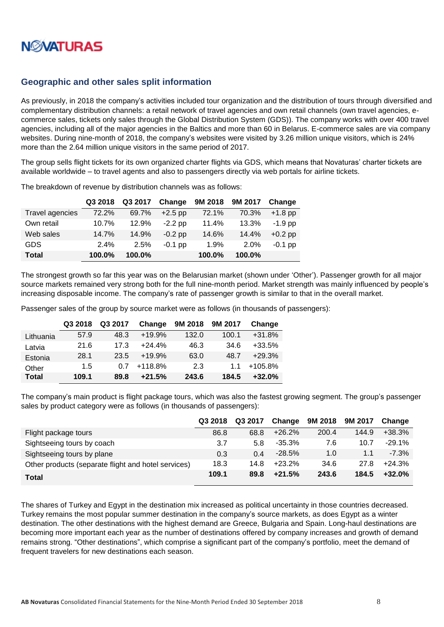

#### <span id="page-7-0"></span>**Geographic and other sales split information**

As previously, in 2018 the company's activities included tour organization and the distribution of tours through diversified and complementary distribution channels: a retail network of travel agencies and own retail channels (own travel agencies, ecommerce sales, tickets only sales through the Global Distribution System (GDS)). The company works with over 400 travel agencies, including all of the major agencies in the Baltics and more than 60 in Belarus. E-commerce sales are via company websites. During nine-month of 2018, the company's websites were visited by 3.26 million unique visitors, which is 24% more than the 2.64 million unique visitors in the same period of 2017.

The group sells flight tickets for its own organized charter flights via GDS, which means that Novaturas' charter tickets are available worldwide – to travel agents and also to passengers directly via web portals for airline tickets.

|                 | Q3 2018 | Q3 2017 | Change    | 9M 2018 | 9M 2017 | Change    |
|-----------------|---------|---------|-----------|---------|---------|-----------|
| Travel agencies | 72.2%   | 69.7%   | $+2.5$ pp | 72.1%   | 70.3%   | $+1.8$ pp |
| Own retail      | 10.7%   | 12.9%   | $-2.2$ pp | 11.4%   | 13.3%   | $-1.9$ pp |
| Web sales       | 14.7%   | 14.9%   | $-0.2$ pp | 14.6%   | 14.4%   | $+0.2$ pp |
| <b>GDS</b>      | 2.4%    | 2.5%    | $-0.1$ pp | 1.9%    | 2.0%    | $-0.1$ pp |
| <b>Total</b>    | 100.0%  | 100.0%  |           | 100.0%  | 100.0%  |           |

The breakdown of revenue by distribution channels was as follows:

The strongest growth so far this year was on the Belarusian market (shown under 'Other'). Passenger growth for all major source markets remained very strong both for the full nine-month period. Market strength was mainly influenced by people's increasing disposable income. The company's rate of passenger growth is similar to that in the overall market.

Passenger sales of the group by source market were as follows (in thousands of passengers):

|              | Q3 2018 | Q3 2017 | Change    | 9M 2018 | 9M 2017 | Change   |
|--------------|---------|---------|-----------|---------|---------|----------|
| Lithuania    | 57.9    | 48.3    | $+19.9%$  | 132.0   | 100.1   | $+31.8%$ |
| Latvia       | 21.6    | 17.3    | $+24.4%$  | 46.3    | 34.6    | $+33.5%$ |
| Estonia      | 28.1    | 23.5    | $+19.9%$  | 63.0    | 48.7    | $+29.3%$ |
| Other        | 1.5     | 0 7     | $+118.8%$ | 2.3     | 11      | +105.8%  |
| <b>Total</b> | 109.1   | 89.8    | $+21.5%$  | 243.6   | 184.5   | $+32.0%$ |

The company's main product is flight package tours, which was also the fastest growing segment. The group's passenger sales by product category were as follows (in thousands of passengers):

|                                                     | Q3 2018 | Q3 2017 | Change   | 9M 2018 | 9M 2017 | Change   |
|-----------------------------------------------------|---------|---------|----------|---------|---------|----------|
| Flight package tours                                | 86.8    | 68.8    | $+26.2%$ | 200.4   | 144.9   | +38.3%   |
| Sightseeing tours by coach                          | 3.7     | 5.8     | $-35.3%$ | 7.6     | 10.7    | $-29.1%$ |
| Sightseeing tours by plane                          | 0.3     | 0.4     | $-28.5%$ | 1.0     | 1.1     | $-7.3%$  |
| Other products (separate flight and hotel services) | 18.3    | 14.8    | $+23.2%$ | 34.6    | 27.8    | $+24.3%$ |
| Total                                               | 109.1   | 89.8    | $+21.5%$ | 243.6   | 184.5   | $+32.0%$ |

The shares of Turkey and Egypt in the destination mix increased as political uncertainty in those countries decreased. Turkey remains the most popular summer destination in the company's source markets, as does Egypt as a winter destination. The other destinations with the highest demand are Greece, Bulgaria and Spain. Long-haul destinations are becoming more important each year as the number of destinations offered by company increases and growth of demand remains strong. "Other destinations", which comprise a significant part of the company's portfolio, meet the demand of frequent travelers for new destinations each season.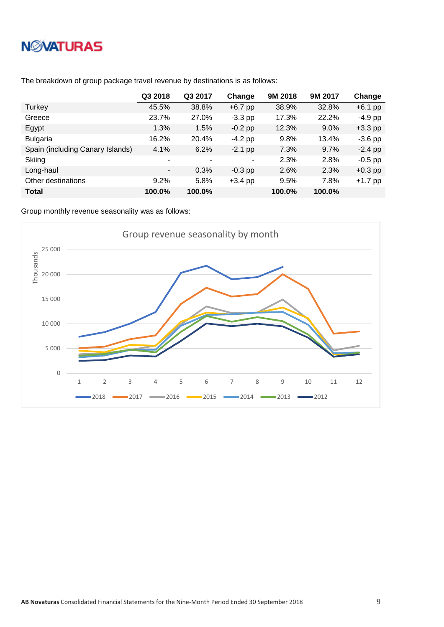# **NWATURAS**

|                                  | Q3 2018                  | Q3 2017 | Change    | 9M 2018 | 9M 2017 | Change    |
|----------------------------------|--------------------------|---------|-----------|---------|---------|-----------|
| Turkey                           | 45.5%                    | 38.8%   | $+6.7$ pp | 38.9%   | 32.8%   | $+6.1$ pp |
| Greece                           | 23.7%                    | 27.0%   | $-3.3$ pp | 17.3%   | 22.2%   | $-4.9$ pp |
| Egypt                            | 1.3%                     | 1.5%    | $-0.2$ pp | 12.3%   | $9.0\%$ | $+3.3$ pp |
| <b>Bulgaria</b>                  | 16.2%                    | 20.4%   | $-4.2$ pp | 9.8%    | 13.4%   | $-3.6$ pp |
| Spain (including Canary Islands) | 4.1%                     | 6.2%    | $-2.1$ pp | 7.3%    | 9.7%    | $-2.4$ pp |
| Skiing                           | ۰                        | ۰       | ٠         | 2.3%    | 2.8%    | $-0.5$ pp |
| Long-haul                        | $\overline{\phantom{a}}$ | 0.3%    | $-0.3$ pp | 2.6%    | 2.3%    | $+0.3$ pp |
| Other destinations               | $9.2\%$                  | 5.8%    | $+3.4$ pp | 9.5%    | 7.8%    | $+1.7$ pp |
| <b>Total</b>                     | 100.0%                   | 100.0%  |           | 100.0%  | 100.0%  |           |

The breakdown of group package travel revenue by destinations is as follows:

Group monthly revenue seasonality was as follows:

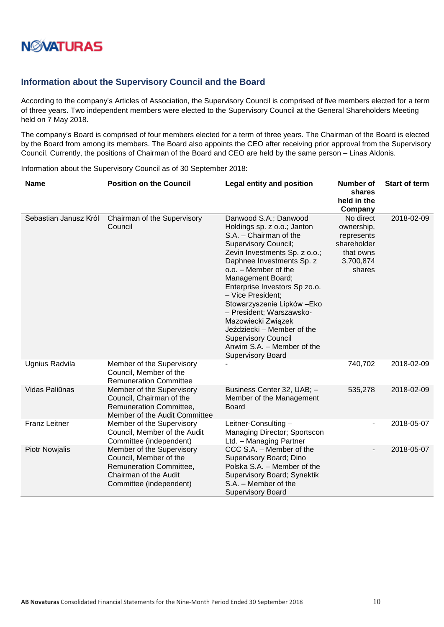

#### <span id="page-9-0"></span>**Information about the Supervisory Council and the Board**

According to the company's Articles of Association, the Supervisory Council is comprised of five members elected for a term of three years. Two independent members were elected to the Supervisory Council at the General Shareholders Meeting held on 7 May 2018.

The company's Board is comprised of four members elected for a term of three years. The Chairman of the Board is elected by the Board from among its members. The Board also appoints the CEO after receiving prior approval from the Supervisory Council. Currently, the positions of Chairman of the Board and CEO are held by the same person – Linas Aldonis.

Information about the Supervisory Council as of 30 September 2018:

| <b>Name</b>           | <b>Position on the Council</b>                                                                                                     | <b>Legal entity and position</b>                                                                                                                                                                                                                                                                                                                                                                                                                                                      | <b>Number of</b><br>shares<br>held in the<br>Company                                     | <b>Start of term</b> |
|-----------------------|------------------------------------------------------------------------------------------------------------------------------------|---------------------------------------------------------------------------------------------------------------------------------------------------------------------------------------------------------------------------------------------------------------------------------------------------------------------------------------------------------------------------------------------------------------------------------------------------------------------------------------|------------------------------------------------------------------------------------------|----------------------|
| Sebastian Janusz Król | Chairman of the Supervisory<br>Council                                                                                             | Danwood S.A.; Danwood<br>Holdings sp. z o.o.; Janton<br>S.A. - Chairman of the<br><b>Supervisory Council;</b><br>Zevin Investments Sp. z o.o.;<br>Daphnee Investments Sp. z<br>o.o. - Member of the<br>Management Board;<br>Enterprise Investors Sp zo.o.<br>- Vice President:<br>Stowarzyszenie Lipków - Eko<br>- President; Warszawsko-<br>Mazowiecki Związek<br>Jeździecki - Member of the<br><b>Supervisory Council</b><br>Anwim S.A. - Member of the<br><b>Supervisory Board</b> | No direct<br>ownership,<br>represents<br>shareholder<br>that owns<br>3,700,874<br>shares | 2018-02-09           |
| Ugnius Radvila        | Member of the Supervisory<br>Council, Member of the<br><b>Remuneration Committee</b>                                               |                                                                                                                                                                                                                                                                                                                                                                                                                                                                                       | 740,702                                                                                  | 2018-02-09           |
| Vidas Paliūnas        | Member of the Supervisory<br>Council, Chairman of the<br>Remuneration Committee.<br>Member of the Audit Committee                  | Business Center 32, UAB; -<br>Member of the Management<br>Board                                                                                                                                                                                                                                                                                                                                                                                                                       | 535,278                                                                                  | 2018-02-09           |
| <b>Franz Leitner</b>  | Member of the Supervisory<br>Council, Member of the Audit<br>Committee (independent)                                               | Leitner-Consulting-<br>Managing Director; Sportscon<br>Ltd. - Managing Partner                                                                                                                                                                                                                                                                                                                                                                                                        |                                                                                          | 2018-05-07           |
| <b>Piotr Nowjalis</b> | Member of the Supervisory<br>Council, Member of the<br>Remuneration Committee,<br>Chairman of the Audit<br>Committee (independent) | CCC S.A. - Member of the<br>Supervisory Board; Dino<br>Polska S.A. - Member of the<br>Supervisory Board; Synektik<br>S.A. - Member of the<br><b>Supervisory Board</b>                                                                                                                                                                                                                                                                                                                 | $\overline{a}$                                                                           | 2018-05-07           |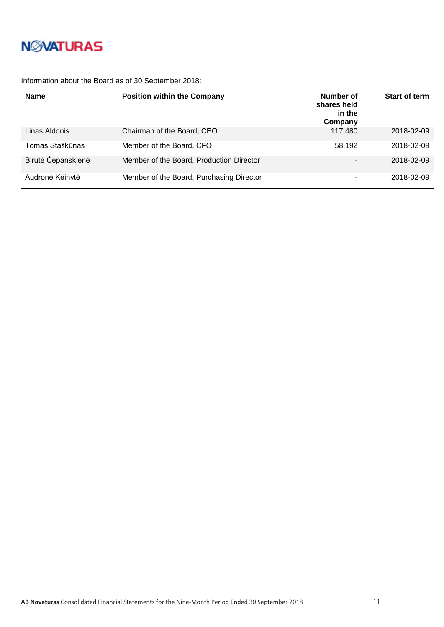

Information about the Board as of 30 September 2018:

| <b>Name</b>        | <b>Position within the Company</b>       | Number of<br>shares held<br>in the<br>Company | <b>Start of term</b> |
|--------------------|------------------------------------------|-----------------------------------------------|----------------------|
| Linas Aldonis      | Chairman of the Board, CEO               | 117,480                                       | 2018-02-09           |
| Tomas Staškūnas    | Member of the Board, CFO                 | 58.192                                        | 2018-02-09           |
| Birutė Čepanskienė | Member of the Board, Production Director | -                                             | 2018-02-09           |
| Audronė Keinytė    | Member of the Board, Purchasing Director | ۰                                             | 2018-02-09           |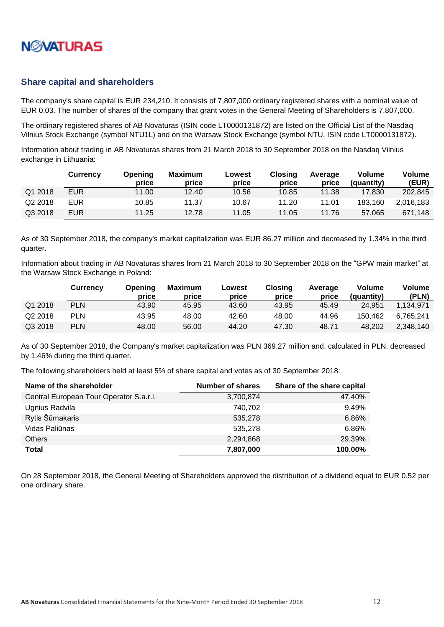

#### <span id="page-11-0"></span>**Share capital and shareholders**

The company's share capital is EUR 234,210. It consists of 7,807,000 ordinary registered shares with a nominal value of EUR 0.03. The number of shares of the company that grant votes in the General Meeting of Shareholders is 7,807,000.

The ordinary registered shares of AB Novaturas (ISIN code LT0000131872) are listed on the Official List of the Nasdaq Vilnius Stock Exchange (symbol NTU1L) and on the Warsaw Stock Exchange (symbol NTU, ISIN code LT0000131872).

Information about trading in AB Novaturas shares from 21 March 2018 to 30 September 2018 on the Nasdaq Vilnius exchange in Lithuania:

|         | <b>Currency</b> | Opening<br>price | Maximum<br>price | Lowest<br>price | <b>Closing</b><br>price | Average<br>price | Volume<br>(quantity) | Volume<br>(EUR) |
|---------|-----------------|------------------|------------------|-----------------|-------------------------|------------------|----------------------|-----------------|
| Q1 2018 | <b>EUR</b>      | 11.00            | 12.40            | 10.56           | 10.85                   | 11.38            | 17.830               | 202,845         |
| Q2 2018 | EUR             | 10.85            | 11.37            | 10.67           | 11.20                   | 11.01            | 183.160              | 2.016.183       |
| Q3 2018 | EUR             | 11.25            | 12.78            | 11.05           | 11.05                   | 11.76            | 57,065               | 671.148         |

As of 30 September 2018, the company's market capitalization was EUR 86.27 million and decreased by 1.34% in the third quarter.

Information about trading in AB Novaturas shares from 21 March 2018 to 30 September 2018 on the "GPW main market" at the Warsaw Stock Exchange in Poland:

|         | <b>Currency</b> | <b>Opening</b><br>price | Maximum<br>price | Lowest<br>price | Closing<br>price | Average<br>price | Volume<br>(quantity) | <b>Volume</b><br>(PLN) |
|---------|-----------------|-------------------------|------------------|-----------------|------------------|------------------|----------------------|------------------------|
| Q1 2018 | <b>PLN</b>      | 43.90                   | 45.95            | 43.60           | 43.95            | 45.49            | 24.951               | 1.134.971              |
| Q2 2018 | <b>PLN</b>      | 43.95                   | 48.00            | 42.60           | 48.00            | 44.96            | 150.462              | 6.765.241              |
| Q3 2018 | <b>PLN</b>      | 48.00                   | 56.00            | 44.20           | 47.30            | 48.71            | 48.202               | 2,348,140              |

As of 30 September 2018, the Company's market capitalization was PLN 369.27 million and, calculated in PLN, decreased by 1.46% during the third quarter.

The following shareholders held at least 5% of share capital and votes as of 30 September 2018:

| Name of the shareholder                 | <b>Number of shares</b> | Share of the share capital |
|-----------------------------------------|-------------------------|----------------------------|
| Central European Tour Operator S.a.r.l. | 3,700,874               | 47.40%                     |
| Ugnius Radvila                          | 740.702                 | 9.49%                      |
| Rytis Šūmakaris                         | 535,278                 | 6.86%                      |
| Vidas Paliūnas                          | 535,278                 | 6.86%                      |
| <b>Others</b>                           | 2,294,868               | 29.39%                     |
| Total                                   | 7,807,000               | 100.00%                    |

On 28 September 2018, the General Meeting of Shareholders approved the distribution of a dividend equal to EUR 0.52 per one ordinary share.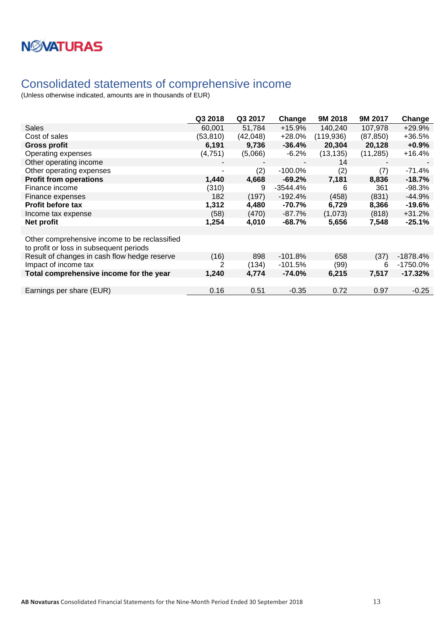

### <span id="page-12-0"></span>Consolidated statements of comprehensive income

|                                                                                          | Q3 2018                  | Q3 2017  | Change     | 9M 2018    | 9M 2017   | Change    |
|------------------------------------------------------------------------------------------|--------------------------|----------|------------|------------|-----------|-----------|
| <b>Sales</b>                                                                             | 60,001                   | 51,784   | $+15.9%$   | 140,240    | 107,978   | +29.9%    |
| Cost of sales                                                                            | (53, 810)                | (42,048) | +28.0%     | (119, 936) | (87, 850) | +36.5%    |
| <b>Gross profit</b>                                                                      | 6,191                    | 9,736    | $-36.4%$   | 20,304     | 20,128    | $+0.9%$   |
| Operating expenses                                                                       | (4,751)                  | (5,066)  | $-6.2\%$   | (13, 135)  | (11, 285) | +16.4%    |
| Other operating income                                                                   |                          |          |            | 14         |           |           |
| Other operating expenses                                                                 | $\overline{\phantom{a}}$ | (2)      | $-100.0\%$ | (2)        | (7)       | -71.4%    |
| <b>Profit from operations</b>                                                            | 1,440                    | 4,668    | $-69.2%$   | 7,181      | 8,836     | $-18.7%$  |
| Finance income                                                                           | (310)                    | 9        | -3544.4%   | 6          | 361       | -98.3%    |
| Finance expenses                                                                         | 182                      | (197)    | $-192.4%$  | (458)      | (831)     | $-44.9%$  |
| <b>Profit before tax</b>                                                                 | 1,312                    | 4,480    | -70.7%     | 6,729      | 8,366     | $-19.6%$  |
| Income tax expense                                                                       | (58)                     | (470)    | -87.7%     | (1,073)    | (818)     | $+31.2%$  |
| Net profit                                                                               | 1,254                    | 4,010    | -68.7%     | 5,656      | 7,548     | $-25.1%$  |
|                                                                                          |                          |          |            |            |           |           |
| Other comprehensive income to be reclassified<br>to profit or loss in subsequent periods |                          |          |            |            |           |           |
| Result of changes in cash flow hedge reserve                                             | (16)                     | 898      | $-101.8%$  | 658        | (37)      | -1878.4%  |
| Impact of income tax                                                                     | 2                        | (134)    | $-101.5%$  | (99)       | 6         | -1750.0%  |
| Total comprehensive income for the year                                                  | 1,240                    | 4,774    | $-74.0\%$  | 6,215      | 7,517     | $-17.32%$ |
|                                                                                          |                          |          |            |            |           |           |
| Earnings per share (EUR)                                                                 | 0.16                     | 0.51     | $-0.35$    | 0.72       | 0.97      | $-0.25$   |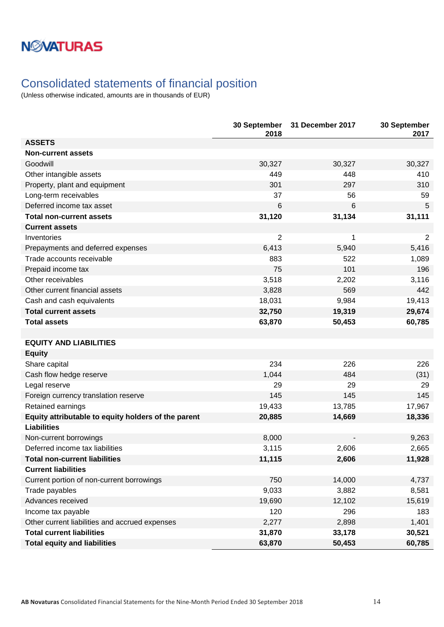### <span id="page-13-0"></span>Consolidated statements of financial position

|                                                     | 30 September<br>2018 | 31 December 2017 | 30 September<br>2017 |
|-----------------------------------------------------|----------------------|------------------|----------------------|
| <b>ASSETS</b>                                       |                      |                  |                      |
| <b>Non-current assets</b>                           |                      |                  |                      |
| Goodwill                                            | 30,327               | 30,327           | 30,327               |
| Other intangible assets                             | 449                  | 448              | 410                  |
| Property, plant and equipment                       | 301                  | 297              | 310                  |
| Long-term receivables                               | 37                   | 56               | 59                   |
| Deferred income tax asset                           | 6                    | 6                | 5                    |
| <b>Total non-current assets</b>                     | 31,120               | 31,134           | 31,111               |
| <b>Current assets</b>                               |                      |                  |                      |
| Inventories                                         | 2                    | 1                | $\overline{2}$       |
| Prepayments and deferred expenses                   | 6,413                | 5,940            | 5,416                |
| Trade accounts receivable                           | 883                  | 522              | 1,089                |
| Prepaid income tax                                  | 75                   | 101              | 196                  |
| Other receivables                                   | 3,518                | 2,202            | 3,116                |
| Other current financial assets                      | 3,828                | 569              | 442                  |
| Cash and cash equivalents                           | 18,031               | 9,984            | 19,413               |
| <b>Total current assets</b>                         | 32,750               | 19,319           | 29,674               |
| <b>Total assets</b>                                 | 63,870               | 50,453           | 60,785               |
|                                                     |                      |                  |                      |
| <b>EQUITY AND LIABILITIES</b>                       |                      |                  |                      |
| <b>Equity</b>                                       |                      |                  |                      |
| Share capital                                       | 234                  | 226              | 226                  |
| Cash flow hedge reserve                             | 1,044                | 484              | (31)                 |
| Legal reserve                                       | 29                   | 29               | 29                   |
| Foreign currency translation reserve                | 145                  | 145              | 145                  |
| Retained earnings                                   | 19,433               | 13,785           | 17,967               |
| Equity attributable to equity holders of the parent | 20,885               | 14,669           | 18,336               |
| <b>Liabilities</b>                                  |                      |                  |                      |
| Non-current borrowings                              | 8,000                |                  | 9,263                |
| Deferred income tax liabilities                     | 3,115                | 2,606            | 2,665                |
| <b>Total non-current liabilities</b>                | 11,115               | 2,606            | 11,928               |
| <b>Current liabilities</b>                          |                      |                  |                      |
| Current portion of non-current borrowings           | 750                  | 14,000           | 4,737                |
| Trade payables                                      | 9,033                | 3,882            | 8,581                |
| Advances received                                   | 19,690               | 12,102           | 15,619               |
| Income tax payable                                  | 120                  | 296              | 183                  |
| Other current liabilities and accrued expenses      | 2,277                | 2,898            | 1,401                |
| <b>Total current liabilities</b>                    | 31,870               | 33,178           | 30,521               |
| <b>Total equity and liabilities</b>                 | 63,870               | 50,453           | 60,785               |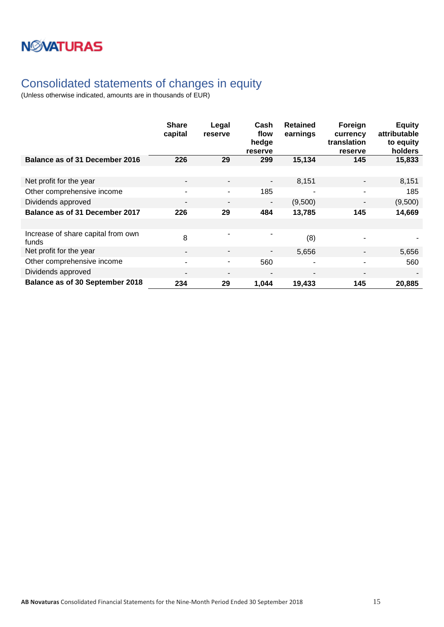## **NWATURAS**

### <span id="page-14-0"></span>Consolidated statements of changes in equity

|                                             | <b>Share</b><br>capital  | Legal<br>reserve         | Cash<br>flow<br>hedge<br>reserve | <b>Retained</b><br>earnings | Foreign<br>currency<br>translation<br>reserve | <b>Equity</b><br>attributable<br>to equity<br>holders |
|---------------------------------------------|--------------------------|--------------------------|----------------------------------|-----------------------------|-----------------------------------------------|-------------------------------------------------------|
| Balance as of 31 December 2016              | 226                      | 29                       | 299                              | 15,134                      | 145                                           | 15,833                                                |
|                                             |                          |                          |                                  |                             |                                               |                                                       |
| Net profit for the year                     | $\overline{\phantom{a}}$ | $\overline{\phantom{a}}$ | $\blacksquare$                   | 8,151                       | $\qquad \qquad \blacksquare$                  | 8,151                                                 |
| Other comprehensive income                  | ۰                        | $\blacksquare$           | 185                              |                             | ۰                                             | 185                                                   |
| Dividends approved                          | $\overline{\phantom{0}}$ | $\overline{\phantom{a}}$ | $\overline{\phantom{a}}$         | (9,500)                     | $\overline{\phantom{0}}$                      | (9,500)                                               |
| Balance as of 31 December 2017              | 226                      | 29                       | 484                              | 13,785                      | 145                                           | 14,669                                                |
|                                             |                          |                          |                                  |                             |                                               |                                                       |
| Increase of share capital from own<br>funds | 8                        | ٠                        | ٠                                | (8)                         |                                               |                                                       |
| Net profit for the year                     | $\overline{\phantom{a}}$ | $\overline{\phantom{a}}$ |                                  | 5,656                       |                                               | 5,656                                                 |
| Other comprehensive income                  | ۰                        | $\overline{\phantom{a}}$ | 560                              |                             | ۰                                             | 560                                                   |
| Dividends approved                          | $\overline{\phantom{0}}$ |                          |                                  |                             |                                               |                                                       |
| <b>Balance as of 30 September 2018</b>      | 234                      | 29                       | 1,044                            | 19,433                      | 145                                           | 20,885                                                |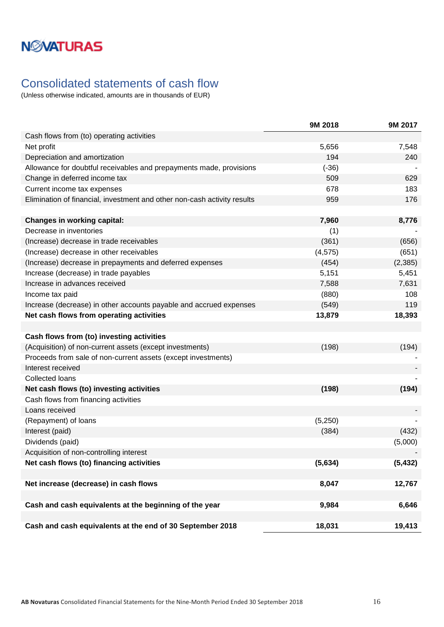### <span id="page-15-0"></span>Consolidated statements of cash flow

|                                                                          | 9M 2018  | 9M 2017  |
|--------------------------------------------------------------------------|----------|----------|
| Cash flows from (to) operating activities                                |          |          |
| Net profit                                                               | 5,656    | 7,548    |
| Depreciation and amortization                                            | 194      | 240      |
| Allowance for doubtful receivables and prepayments made, provisions      | $(-36)$  |          |
| Change in deferred income tax                                            | 509      | 629      |
| Current income tax expenses                                              | 678      | 183      |
| Elimination of financial, investment and other non-cash activity results | 959      | 176      |
|                                                                          |          |          |
| <b>Changes in working capital:</b>                                       | 7,960    | 8,776    |
| Decrease in inventories                                                  | (1)      |          |
| (Increase) decrease in trade receivables                                 | (361)    | (656)    |
| (Increase) decrease in other receivables                                 | (4, 575) | (651)    |
| (Increase) decrease in prepayments and deferred expenses                 | (454)    | (2,385)  |
| Increase (decrease) in trade payables                                    | 5,151    | 5,451    |
| Increase in advances received                                            | 7,588    | 7,631    |
| Income tax paid                                                          | (880)    | 108      |
| Increase (decrease) in other accounts payable and accrued expenses       | (549)    | 119      |
| Net cash flows from operating activities                                 | 13,879   | 18,393   |
|                                                                          |          |          |
| Cash flows from (to) investing activities                                |          |          |
| (Acquisition) of non-current assets (except investments)                 | (198)    | (194)    |
| Proceeds from sale of non-current assets (except investments)            |          |          |
| Interest received                                                        |          |          |
| <b>Collected loans</b>                                                   |          |          |
| Net cash flows (to) investing activities                                 | (198)    | (194)    |
| Cash flows from financing activities                                     |          |          |
| Loans received                                                           |          |          |
| (Repayment) of loans                                                     | (5,250)  |          |
| Interest (paid)                                                          | (384)    | (432)    |
| Dividends (paid)                                                         |          | (5,000)  |
| Acquisition of non-controlling interest                                  |          |          |
| Net cash flows (to) financing activities                                 | (5,634)  | (5, 432) |
|                                                                          |          |          |
| Net increase (decrease) in cash flows                                    | 8,047    | 12,767   |
|                                                                          |          |          |
| Cash and cash equivalents at the beginning of the year                   | 9,984    | 6,646    |
|                                                                          |          |          |
| Cash and cash equivalents at the end of 30 September 2018                | 18,031   | 19,413   |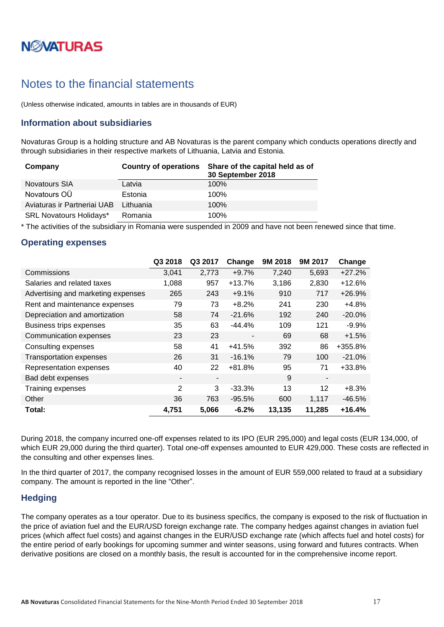# **NØVATURAS**

### <span id="page-16-0"></span>Notes to the financial statements

(Unless otherwise indicated, amounts in tables are in thousands of EUR)

### <span id="page-16-1"></span>**Information about subsidiaries**

Novaturas Group is a holding structure and AB Novaturas is the parent company which conducts operations directly and through subsidiaries in their respective markets of Lithuania, Latvia and Estonia.

| Company                        | <b>Country of operations</b> | Share of the capital held as of<br>30 September 2018 |
|--------------------------------|------------------------------|------------------------------------------------------|
| <b>Novatours SIA</b>           | Latvia                       | 100%                                                 |
| Novatours OÜ                   | Estonia                      | 100%                                                 |
| Aviaturas ir Partneriai UAB    | Lithuania                    | 100%                                                 |
| <b>SRL Novatours Holidays*</b> | Romania                      | 100%                                                 |

\* The activities of the subsidiary in Romania were suspended in 2009 and have not been renewed since that time.

#### <span id="page-16-2"></span>**Operating expenses**

|                                    | Q3 2018 | Q3 2017                  | Change         | 9M 2018 | 9M 2017                  | Change    |
|------------------------------------|---------|--------------------------|----------------|---------|--------------------------|-----------|
| Commissions                        | 3,041   | 2,773                    | $+9.7%$        | 7,240   | 5,693                    | $+27.2%$  |
| Salaries and related taxes         | 1,088   | 957                      | $+13.7%$       | 3,186   | 2,830                    | $+12.6%$  |
| Advertising and marketing expenses | 265     | 243                      | $+9.1%$        | 910     | 717                      | $+26.9%$  |
| Rent and maintenance expenses      | 79      | 73                       | $+8.2%$        | 241     | 230                      | $+4.8%$   |
| Depreciation and amortization      | 58      | 74                       | $-21.6%$       | 192     | 240                      | $-20.0\%$ |
| <b>Business trips expenses</b>     | 35      | 63                       | $-44.4%$       | 109     | 121                      | $-9.9%$   |
| Communication expenses             | 23      | 23                       | $\blacksquare$ | 69      | 68                       | $+1.5%$   |
| Consulting expenses                | 58      | 41                       | $+41.5%$       | 392     | 86                       | +355.8%   |
| <b>Transportation expenses</b>     | 26      | 31                       | $-16.1%$       | 79      | 100                      | $-21.0%$  |
| Representation expenses            | 40      | 22                       | $+81.8%$       | 95      | 71                       | +33.8%    |
| Bad debt expenses                  | -       | $\overline{\phantom{a}}$ |                | 9       | $\overline{\phantom{a}}$ |           |
| Training expenses                  | 2       | 3                        | $-33.3%$       | 13      | 12                       | $+8.3%$   |
| Other                              | 36      | 763                      | $-95.5%$       | 600     | 1,117                    | $-46.5%$  |
| Total:                             | 4,751   | 5,066                    | $-6.2%$        | 13,135  | 11,285                   | $+16.4%$  |

During 2018, the company incurred one-off expenses related to its IPO (EUR 295,000) and legal costs (EUR 134,000, of which EUR 29,000 during the third quarter). Total one-off expenses amounted to EUR 429,000. These costs are reflected in the consulting and other expenses lines.

In the third quarter of 2017, the company recognised losses in the amount of EUR 559,000 related to fraud at a subsidiary company. The amount is reported in the line "Other".

#### <span id="page-16-3"></span>**Hedging**

The company operates as a tour operator. Due to its business specifics, the company is exposed to the risk of fluctuation in the price of aviation fuel and the EUR/USD foreign exchange rate. The company hedges against changes in aviation fuel prices (which affect fuel costs) and against changes in the EUR/USD exchange rate (which affects fuel and hotel costs) for the entire period of early bookings for upcoming summer and winter seasons, using forward and futures contracts. When derivative positions are closed on a monthly basis, the result is accounted for in the comprehensive income report.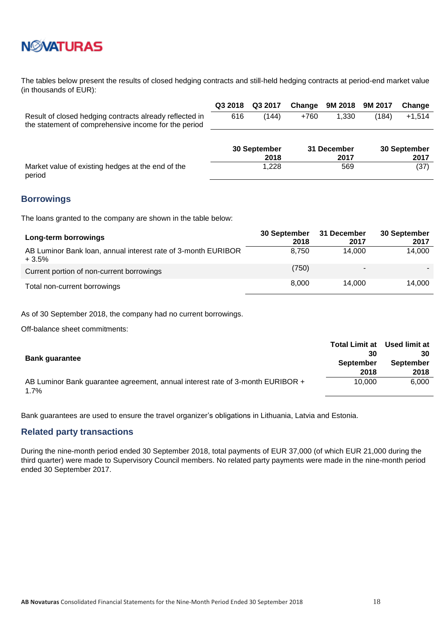

The tables below present the results of closed hedging contracts and still-held hedging contracts at period-end market value (in thousands of EUR):

|                                                                                                                 | Q3 2018 | Q3 2017              | Change | 9M 2018             | 9M 2017 | Change               |
|-----------------------------------------------------------------------------------------------------------------|---------|----------------------|--------|---------------------|---------|----------------------|
| Result of closed hedging contracts already reflected in<br>the statement of comprehensive income for the period | 616     | (144)                | $+760$ | 1.330               | (184)   | $+1,514$             |
|                                                                                                                 |         | 30 September<br>2018 |        | 31 December<br>2017 |         | 30 September<br>2017 |
| Market value of existing hedges at the end of the                                                               |         | 1.228                |        | 569                 |         | (37)                 |

or existing hedges at the end of the period

#### <span id="page-17-0"></span>**Borrowings**

The loans granted to the company are shown in the table below:

| Long-term borrowings                                                     | 30 September<br>2018 | 31 December<br>2017 | 30 September<br>2017 |
|--------------------------------------------------------------------------|----------------------|---------------------|----------------------|
| AB Luminor Bank Ioan, annual interest rate of 3-month EURIBOR<br>$+3.5%$ | 8.750                | 14.000              | 14,000               |
| Current portion of non-current borrowings                                | (750)                | $\blacksquare$      |                      |
| Total non-current borrowings                                             | 8.000                | 14.000              | 14.000               |

As of 30 September 2018, the company had no current borrowings.

Off-balance sheet commitments:

|                                                                                           | <b>Total Limit at</b> | Used limit at |
|-------------------------------------------------------------------------------------------|-----------------------|---------------|
| <b>Bank quarantee</b>                                                                     | 30                    | 30            |
|                                                                                           | <b>September</b>      | September     |
|                                                                                           | 2018                  | 2018          |
| AB Luminor Bank guarantee agreement, annual interest rate of 3-month EURIBOR +<br>$1.7\%$ | 10.000                | 6.000         |

Bank guarantees are used to ensure the travel organizer's obligations in Lithuania, Latvia and Estonia.

#### <span id="page-17-1"></span>**Related party transactions**

During the nine-month period ended 30 September 2018, total payments of EUR 37,000 (of which EUR 21,000 during the third quarter) were made to Supervisory Council members. No related party payments were made in the nine-month period ended 30 September 2017.